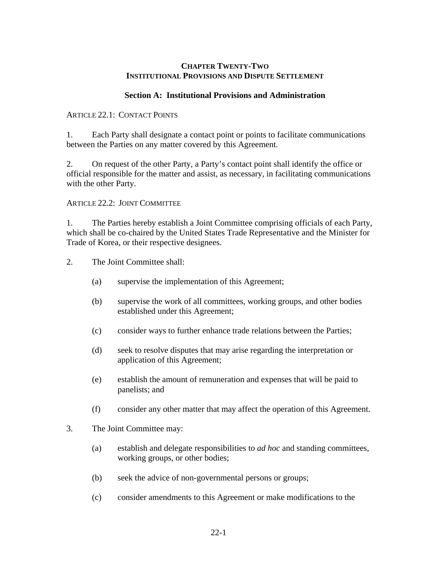### **CHAPTER TWENTY-TWO INSTITUTIONAL PROVISIONS AND DISPUTE SETTLEMENT**

#### **Section A: Institutional Provisions and Administration**

#### ARTICLE 22.1: CONTACT POINTS

1. Each Party shall designate a contact point or points to facilitate communications between the Parties on any matter covered by this Agreement.

2. On request of the other Party, a Party's contact point shall identify the office or official responsible for the matter and assist, as necessary, in facilitating communications with the other Party.

### ARTICLE 22.2: JOINT COMMITTEE

1. The Parties hereby establish a Joint Committee comprising officials of each Party, which shall be co-chaired by the United States Trade Representative and the Minister for Trade of Korea, or their respective designees.

- 2. The Joint Committee shall:
	- (a) supervise the implementation of this Agreement;
	- (b) supervise the work of all committees, working groups, and other bodies established under this Agreement;
	- (c) consider ways to further enhance trade relations between the Parties;
	- (d) seek to resolve disputes that may arise regarding the interpretation or application of this Agreement;
	- (e) establish the amount of remuneration and expenses that will be paid to panelists; and
	- (f) consider any other matter that may affect the operation of this Agreement.
- 3. The Joint Committee may:
	- (a) establish and delegate responsibilities to *ad hoc* and standing committees, working groups, or other bodies;
	- (b) seek the advice of non-governmental persons or groups;
	- (c) consider amendments to this Agreement or make modifications to the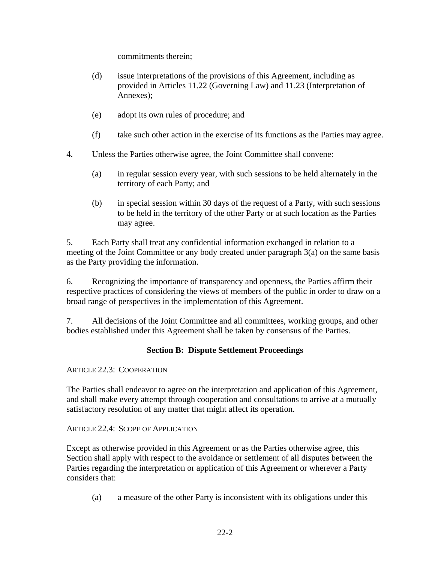commitments therein;

- (d) issue interpretations of the provisions of this Agreement, including as provided in Articles 11.22 (Governing Law) and 11.23 (Interpretation of Annexes);
- (e) adopt its own rules of procedure; and
- (f) take such other action in the exercise of its functions as the Parties may agree.
- 4. Unless the Parties otherwise agree, the Joint Committee shall convene:
	- (a) in regular session every year, with such sessions to be held alternately in the territory of each Party; and
	- (b) in special session within 30 days of the request of a Party, with such sessions to be held in the territory of the other Party or at such location as the Parties may agree.

5. Each Party shall treat any confidential information exchanged in relation to a meeting of the Joint Committee or any body created under paragraph 3(a) on the same basis as the Party providing the information.

6. Recognizing the importance of transparency and openness, the Parties affirm their respective practices of considering the views of members of the public in order to draw on a broad range of perspectives in the implementation of this Agreement.

7. All decisions of the Joint Committee and all committees, working groups, and other bodies established under this Agreement shall be taken by consensus of the Parties.

# **Section B: Dispute Settlement Proceedings**

ARTICLE 22.3: COOPERATION

The Parties shall endeavor to agree on the interpretation and application of this Agreement, and shall make every attempt through cooperation and consultations to arrive at a mutually satisfactory resolution of any matter that might affect its operation.

## ARTICLE 22.4: SCOPE OF APPLICATION

Except as otherwise provided in this Agreement or as the Parties otherwise agree, this Section shall apply with respect to the avoidance or settlement of all disputes between the Parties regarding the interpretation or application of this Agreement or wherever a Party considers that:

(a) a measure of the other Party is inconsistent with its obligations under this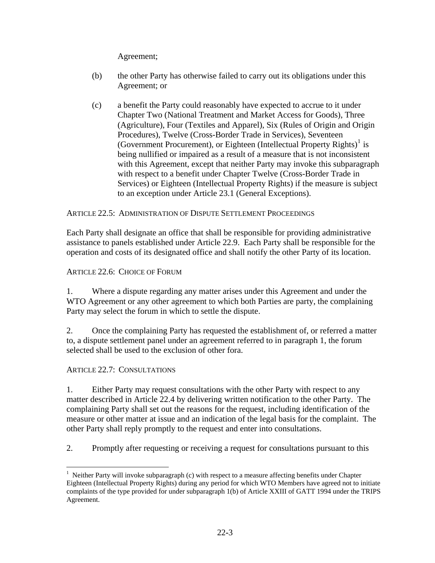Agreement;

- (b) the other Party has otherwise failed to carry out its obligations under this Agreement; or
- (c) a benefit the Party could reasonably have expected to accrue to it under Chapter Two (National Treatment and Market Access for Goods), Three (Agriculture), Four (Textiles and Apparel), Six (Rules of Origin and Origin Procedures), Twelve (Cross-Border Trade in Services), Seventeen (Government Procurement), or Eighteen (Intellectual Property Rights) $<sup>1</sup>$  $<sup>1</sup>$  $<sup>1</sup>$  is</sup> being nullified or impaired as a result of a measure that is not inconsistent with this Agreement, except that neither Party may invoke this subparagraph with respect to a benefit under Chapter Twelve (Cross-Border Trade in Services) or Eighteen (Intellectual Property Rights) if the measure is subject to an exception under Article 23.1 (General Exceptions).

## ARTICLE 22.5: ADMINISTRATION OF DISPUTE SETTLEMENT PROCEEDINGS

Each Party shall designate an office that shall be responsible for providing administrative assistance to panels established under Article 22.9. Each Party shall be responsible for the operation and costs of its designated office and shall notify the other Party of its location.

ARTICLE 22.6: CHOICE OF FORUM

1. Where a dispute regarding any matter arises under this Agreement and under the WTO Agreement or any other agreement to which both Parties are party, the complaining Party may select the forum in which to settle the dispute.

2. Once the complaining Party has requested the establishment of, or referred a matter to, a dispute settlement panel under an agreement referred to in paragraph 1, the forum selected shall be used to the exclusion of other fora.

ARTICLE 22.7: CONSULTATIONS

 $\overline{a}$ 

1. Either Party may request consultations with the other Party with respect to any matter described in Article 22.4 by delivering written notification to the other Party. The complaining Party shall set out the reasons for the request, including identification of the measure or other matter at issue and an indication of the legal basis for the complaint. The other Party shall reply promptly to the request and enter into consultations.

2. Promptly after requesting or receiving a request for consultations pursuant to this

<span id="page-2-0"></span> $<sup>1</sup>$  Neither Party will invoke subparagraph (c) with respect to a measure affecting benefits under Chapter</sup> Eighteen (Intellectual Property Rights) during any period for which WTO Members have agreed not to initiate complaints of the type provided for under subparagraph 1(b) of Article XXIII of GATT 1994 under the TRIPS Agreement.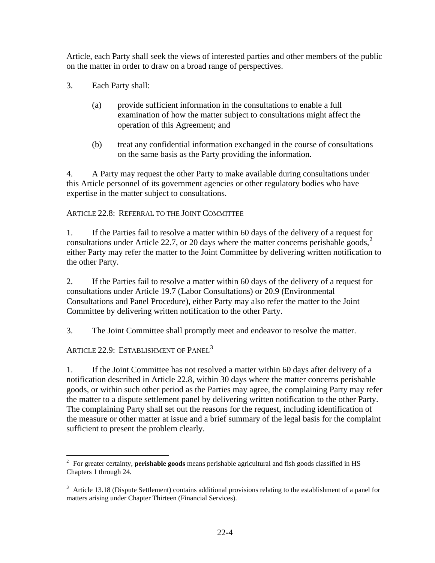Article, each Party shall seek the views of interested parties and other members of the public on the matter in order to draw on a broad range of perspectives.

- 3. Each Party shall:
	- (a) provide sufficient information in the consultations to enable a full examination of how the matter subject to consultations might affect the operation of this Agreement; and
	- (b) treat any confidential information exchanged in the course of consultations on the same basis as the Party providing the information.

4. A Party may request the other Party to make available during consultations under this Article personnel of its government agencies or other regulatory bodies who have expertise in the matter subject to consultations.

ARTICLE 22.8: REFERRAL TO THE JOINT COMMITTEE

1. If the Parties fail to resolve a matter within 60 days of the delivery of a request for consultations under Article [2](#page-3-0)2.7, or 20 days where the matter concerns perishable goods,<sup>2</sup> either Party may refer the matter to the Joint Committee by delivering written notification to the other Party.

2. If the Parties fail to resolve a matter within 60 days of the delivery of a request for consultations under Article 19.7 (Labor Consultations) or 20.9 (Environmental Consultations and Panel Procedure), either Party may also refer the matter to the Joint Committee by delivering written notification to the other Party.

3. The Joint Committee shall promptly meet and endeavor to resolve the matter.

ARTICLE 22.9: ESTABLISHMENT OF PANEL<sup>[3](#page-3-1)</sup>

1. If the Joint Committee has not resolved a matter within 60 days after delivery of a notification described in Article 22.8, within 30 days where the matter concerns perishable goods, or within such other period as the Parties may agree, the complaining Party may refer the matter to a dispute settlement panel by delivering written notification to the other Party. The complaining Party shall set out the reasons for the request, including identification of the measure or other matter at issue and a brief summary of the legal basis for the complaint sufficient to present the problem clearly.

<span id="page-3-0"></span> 2 For greater certainty, **perishable goods** means perishable agricultural and fish goods classified in HS Chapters 1 through 24.

<span id="page-3-1"></span><sup>&</sup>lt;sup>3</sup> Article 13.18 (Dispute Settlement) contains additional provisions relating to the establishment of a panel for matters arising under Chapter Thirteen (Financial Services).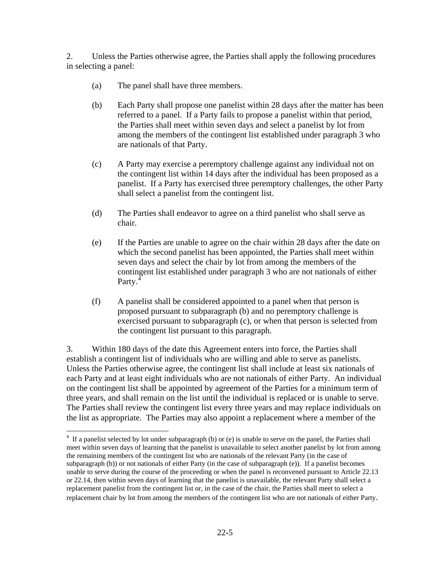2. Unless the Parties otherwise agree, the Parties shall apply the following procedures in selecting a panel:

- (a) The panel shall have three members.
- (b) Each Party shall propose one panelist within 28 days after the matter has been referred to a panel. If a Party fails to propose a panelist within that period, the Parties shall meet within seven days and select a panelist by lot from among the members of the contingent list established under paragraph 3 who are nationals of that Party.
- (c) A Party may exercise a peremptory challenge against any individual not on the contingent list within 14 days after the individual has been proposed as a panelist. If a Party has exercised three peremptory challenges, the other Party shall select a panelist from the contingent list.
- (d) The Parties shall endeavor to agree on a third panelist who shall serve as chair.
- (e) If the Parties are unable to agree on the chair within 28 days after the date on which the second panelist has been appointed, the Parties shall meet within seven days and select the chair by lot from among the members of the contingent list established under paragraph 3 who are not nationals of either Party.<sup>[4](#page-4-0)</sup>
- (f) A panelist shall be considered appointed to a panel when that person is proposed pursuant to subparagraph (b) and no peremptory challenge is exercised pursuant to subparagraph (c), or when that person is selected from the contingent list pursuant to this paragraph.

3. Within 180 days of the date this Agreement enters into force, the Parties shall establish a contingent list of individuals who are willing and able to serve as panelists. Unless the Parties otherwise agree, the contingent list shall include at least six nationals of each Party and at least eight individuals who are not nationals of either Party. An individual on the contingent list shall be appointed by agreement of the Parties for a minimum term of three years, and shall remain on the list until the individual is replaced or is unable to serve. The Parties shall review the contingent list every three years and may replace individuals on the list as appropriate. The Parties may also appoint a replacement where a member of the

<span id="page-4-0"></span><sup>&</sup>lt;sup>4</sup> If a panelist selected by lot under subparagraph (b) or (e) is unable to serve on the panel, the Parties shall meet within seven days of learning that the panelist is unavailable to select another panelist by lot from among the remaining members of the contingent list who are nationals of the relevant Party (in the case of subparagraph (b)) or not nationals of either Party (in the case of subparagraph (e)). If a panelist becomes unable to serve during the course of the proceeding or when the panel is reconvened pursuant to Article 22.13 or 22.14, then within seven days of learning that the panelist is unavailable, the relevant Party shall select a replacement panelist from the contingent list or, in the case of the chair, the Parties shall meet to select a replacement chair by lot from among the members of the contingent list who are not nationals of either Party.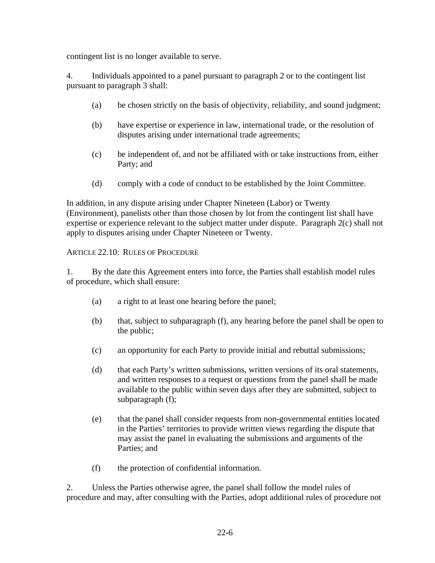contingent list is no longer available to serve.

4. Individuals appointed to a panel pursuant to paragraph 2 or to the contingent list pursuant to paragraph 3 shall:

- (a) be chosen strictly on the basis of objectivity, reliability, and sound judgment;
- (b) have expertise or experience in law, international trade, or the resolution of disputes arising under international trade agreements;
- (c) be independent of, and not be affiliated with or take instructions from, either Party; and
- (d) comply with a code of conduct to be established by the Joint Committee.

In addition, in any dispute arising under Chapter Nineteen (Labor) or Twenty (Environment), panelists other than those chosen by lot from the contingent list shall have expertise or experience relevant to the subject matter under dispute. Paragraph 2(c) shall not apply to disputes arising under Chapter Nineteen or Twenty.

ARTICLE 22.10: RULES OF PROCEDURE

1. By the date this Agreement enters into force, the Parties shall establish model rules of procedure, which shall ensure:

- (a) a right to at least one hearing before the panel;
- (b) that, subject to subparagraph (f), any hearing before the panel shall be open to the public;
- (c) an opportunity for each Party to provide initial and rebuttal submissions;
- (d) that each Party's written submissions, written versions of its oral statements, and written responses to a request or questions from the panel shall be made available to the public within seven days after they are submitted, subject to subparagraph (f);
- (e) that the panel shall consider requests from non-governmental entities located in the Parties' territories to provide written views regarding the dispute that may assist the panel in evaluating the submissions and arguments of the Parties; and
- (f) the protection of confidential information.

2. Unless the Parties otherwise agree, the panel shall follow the model rules of procedure and may, after consulting with the Parties, adopt additional rules of procedure not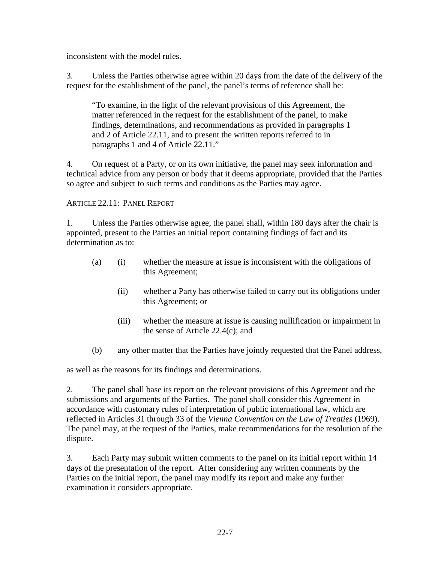inconsistent with the model rules.

3. Unless the Parties otherwise agree within 20 days from the date of the delivery of the request for the establishment of the panel, the panel's terms of reference shall be:

"To examine, in the light of the relevant provisions of this Agreement, the matter referenced in the request for the establishment of the panel, to make findings, determinations, and recommendations as provided in paragraphs 1 and 2 of Article 22.11, and to present the written reports referred to in paragraphs 1 and 4 of Article 22.11."

4. On request of a Party, or on its own initiative, the panel may seek information and technical advice from any person or body that it deems appropriate, provided that the Parties so agree and subject to such terms and conditions as the Parties may agree.

ARTICLE 22.11: PANEL REPORT

1. Unless the Parties otherwise agree, the panel shall, within 180 days after the chair is appointed, present to the Parties an initial report containing findings of fact and its determination as to:

- (a) (i) whether the measure at issue is inconsistent with the obligations of this Agreement;
	- (ii) whether a Party has otherwise failed to carry out its obligations under this Agreement; or
	- (iii) whether the measure at issue is causing nullification or impairment in the sense of Article 22.4(c); and
- (b) any other matter that the Parties have jointly requested that the Panel address,

as well as the reasons for its findings and determinations.

2. The panel shall base its report on the relevant provisions of this Agreement and the submissions and arguments of the Parties.The panel shall consider this Agreement in accordance with customary rules of interpretation of public international law, which are reflected in Articles 31 through 33 of the *Vienna Convention on the Law of Treaties* (1969). The panel may, at the request of the Parties, make recommendations for the resolution of the dispute.

3. Each Party may submit written comments to the panel on its initial report within 14 days of the presentation of the report. After considering any written comments by the Parties on the initial report, the panel may modify its report and make any further examination it considers appropriate.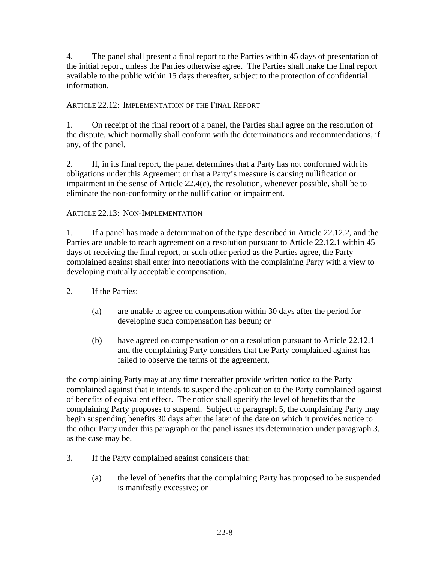4. The panel shall present a final report to the Parties within 45 days of presentation of the initial report, unless the Parties otherwise agree. The Parties shall make the final report available to the public within 15 days thereafter, subject to the protection of confidential information.

## ARTICLE 22.12: IMPLEMENTATION OF THE FINAL REPORT

1. On receipt of the final report of a panel, the Parties shall agree on the resolution of the dispute, which normally shall conform with the determinations and recommendations, if any, of the panel.

2. If, in its final report, the panel determines that a Party has not conformed with its obligations under this Agreement or that a Party's measure is causing nullification or impairment in the sense of Article 22.4(c), the resolution, whenever possible, shall be to eliminate the non-conformity or the nullification or impairment.

## ARTICLE 22.13: NON-IMPLEMENTATION

1. If a panel has made a determination of the type described in Article 22.12.2, and the Parties are unable to reach agreement on a resolution pursuant to Article 22.12.1 within 45 days of receiving the final report, or such other period as the Parties agree, the Party complained against shall enter into negotiations with the complaining Party with a view to developing mutually acceptable compensation.

- 2. If the Parties:
	- (a) are unable to agree on compensation within 30 days after the period for developing such compensation has begun; or
	- (b) have agreed on compensation or on a resolution pursuant to Article 22.12.1 and the complaining Party considers that the Party complained against has failed to observe the terms of the agreement,

the complaining Party may at any time thereafter provide written notice to the Party complained against that it intends to suspend the application to the Party complained against of benefits of equivalent effect. The notice shall specify the level of benefits that the complaining Party proposes to suspend. Subject to paragraph 5, the complaining Party may begin suspending benefits 30 days after the later of the date on which it provides notice to the other Party under this paragraph or the panel issues its determination under paragraph 3, as the case may be.

- 3. If the Party complained against considers that:
	- (a) the level of benefits that the complaining Party has proposed to be suspended is manifestly excessive; or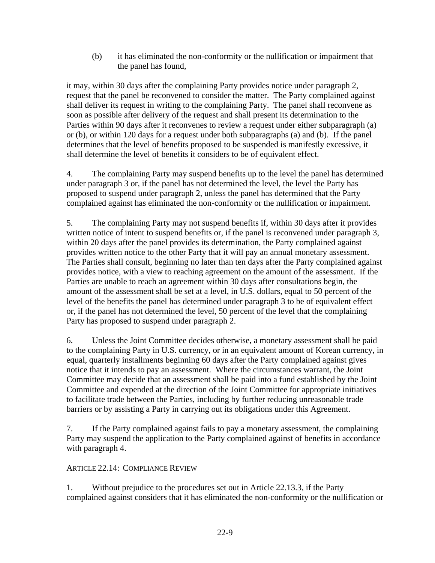(b) it has eliminated the non-conformity or the nullification or impairment that the panel has found,

it may, within 30 days after the complaining Party provides notice under paragraph 2, request that the panel be reconvened to consider the matter. The Party complained against shall deliver its request in writing to the complaining Party. The panel shall reconvene as soon as possible after delivery of the request and shall present its determination to the Parties within 90 days after it reconvenes to review a request under either subparagraph (a) or (b), or within 120 days for a request under both subparagraphs (a) and (b). If the panel determines that the level of benefits proposed to be suspended is manifestly excessive, it shall determine the level of benefits it considers to be of equivalent effect.

4. The complaining Party may suspend benefits up to the level the panel has determined under paragraph 3 or, if the panel has not determined the level, the level the Party has proposed to suspend under paragraph 2, unless the panel has determined that the Party complained against has eliminated the non-conformity or the nullification or impairment.

5. The complaining Party may not suspend benefits if, within 30 days after it provides written notice of intent to suspend benefits or, if the panel is reconvened under paragraph 3, within 20 days after the panel provides its determination, the Party complained against provides written notice to the other Party that it will pay an annual monetary assessment. The Parties shall consult, beginning no later than ten days after the Party complained against provides notice, with a view to reaching agreement on the amount of the assessment. If the Parties are unable to reach an agreement within 30 days after consultations begin, the amount of the assessment shall be set at a level, in U.S. dollars, equal to 50 percent of the level of the benefits the panel has determined under paragraph 3 to be of equivalent effect or, if the panel has not determined the level, 50 percent of the level that the complaining Party has proposed to suspend under paragraph 2.

6. Unless the Joint Committee decides otherwise, a monetary assessment shall be paid to the complaining Party in U.S. currency, or in an equivalent amount of Korean currency, in equal, quarterly installments beginning 60 days after the Party complained against gives notice that it intends to pay an assessment. Where the circumstances warrant, the Joint Committee may decide that an assessment shall be paid into a fund established by the Joint Committee and expended at the direction of the Joint Committee for appropriate initiatives to facilitate trade between the Parties, including by further reducing unreasonable trade barriers or by assisting a Party in carrying out its obligations under this Agreement.

7. If the Party complained against fails to pay a monetary assessment, the complaining Party may suspend the application to the Party complained against of benefits in accordance with paragraph 4.

## ARTICLE 22.14: COMPLIANCE REVIEW

1. Without prejudice to the procedures set out in Article 22.13.3, if the Party complained against considers that it has eliminated the non-conformity or the nullification or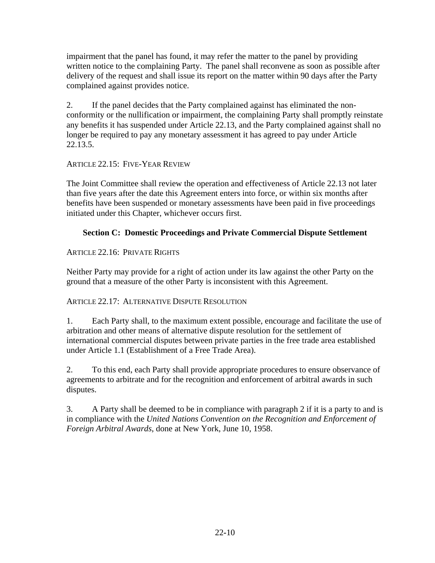impairment that the panel has found, it may refer the matter to the panel by providing written notice to the complaining Party. The panel shall reconvene as soon as possible after delivery of the request and shall issue its report on the matter within 90 days after the Party complained against provides notice.

2. If the panel decides that the Party complained against has eliminated the nonconformity or the nullification or impairment, the complaining Party shall promptly reinstate any benefits it has suspended under Article 22.13, and the Party complained against shall no longer be required to pay any monetary assessment it has agreed to pay under Article 22.13.5.

ARTICLE 22.15: FIVE-YEAR REVIEW

The Joint Committee shall review the operation and effectiveness of Article 22.13 not later than five years after the date this Agreement enters into force, or within six months after benefits have been suspended or monetary assessments have been paid in five proceedings initiated under this Chapter, whichever occurs first.

# **Section C: Domestic Proceedings and Private Commercial Dispute Settlement**

# ARTICLE 22.16: PRIVATE RIGHTS

Neither Party may provide for a right of action under its law against the other Party on the ground that a measure of the other Party is inconsistent with this Agreement.

# ARTICLE 22.17: ALTERNATIVE DISPUTE RESOLUTION

1. Each Party shall, to the maximum extent possible, encourage and facilitate the use of arbitration and other means of alternative dispute resolution for the settlement of international commercial disputes between private parties in the free trade area established under Article 1.1 (Establishment of a Free Trade Area).

2. To this end, each Party shall provide appropriate procedures to ensure observance of agreements to arbitrate and for the recognition and enforcement of arbitral awards in such disputes.

3. A Party shall be deemed to be in compliance with paragraph 2 if it is a party to and is in compliance with the *United Nations Convention on the Recognition and Enforcement of Foreign Arbitral Awards*, done at New York, June 10, 1958.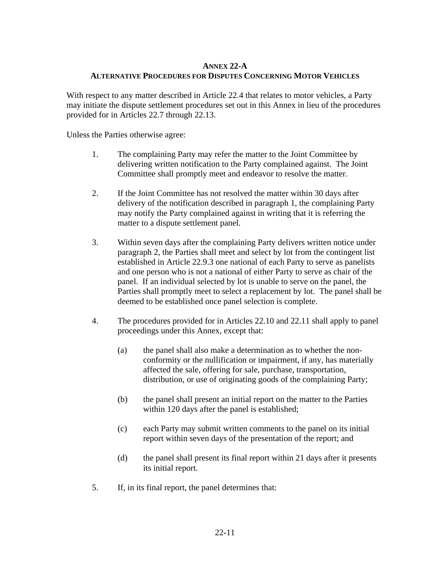### **ANNEX 22-A ALTERNATIVE PROCEDURES FOR DISPUTES CONCERNING MOTOR VEHICLES**

With respect to any matter described in Article 22.4 that relates to motor vehicles, a Party may initiate the dispute settlement procedures set out in this Annex in lieu of the procedures provided for in Articles 22.7 through 22.13.

Unless the Parties otherwise agree:

- 1. The complaining Party may refer the matter to the Joint Committee by delivering written notification to the Party complained against. The Joint Committee shall promptly meet and endeavor to resolve the matter.
- 2. If the Joint Committee has not resolved the matter within 30 days after delivery of the notification described in paragraph 1, the complaining Party may notify the Party complained against in writing that it is referring the matter to a dispute settlement panel.
- 3. Within seven days after the complaining Party delivers written notice under paragraph 2, the Parties shall meet and select by lot from the contingent list established in Article 22.9.3 one national of each Party to serve as panelists and one person who is not a national of either Party to serve as chair of the panel. If an individual selected by lot is unable to serve on the panel, the Parties shall promptly meet to select a replacement by lot. The panel shall be deemed to be established once panel selection is complete.
- 4. The procedures provided for in Articles 22.10 and 22.11 shall apply to panel proceedings under this Annex, except that:
	- (a) the panel shall also make a determination as to whether the nonconformity or the nullification or impairment, if any, has materially affected the sale, offering for sale, purchase, transportation, distribution, or use of originating goods of the complaining Party;
	- (b) the panel shall present an initial report on the matter to the Parties within 120 days after the panel is established;
	- (c) each Party may submit written comments to the panel on its initial report within seven days of the presentation of the report; and
	- (d) the panel shall present its final report within 21 days after it presents its initial report.
- 5. If, in its final report, the panel determines that: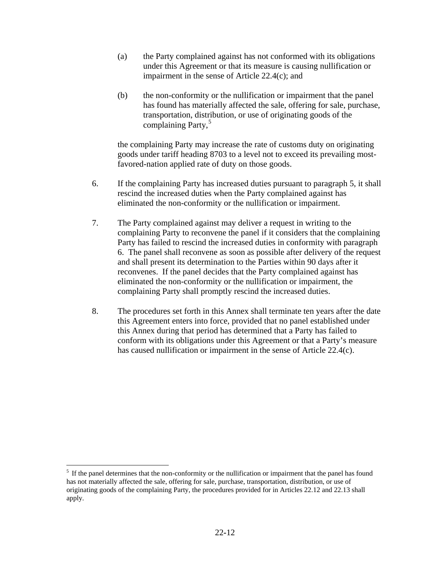- (a) the Party complained against has not conformed with its obligations under this Agreement or that its measure is causing nullification or impairment in the sense of Article 22.4(c); and
- (b) the non-conformity or the nullification or impairment that the panel has found has materially affected the sale, offering for sale, purchase, transportation, distribution, or use of originating goods of the complaining Party, $5$

 the complaining Party may increase the rate of customs duty on originating goods under tariff heading 8703 to a level not to exceed its prevailing mostfavored-nation applied rate of duty on those goods.

- 6. If the complaining Party has increased duties pursuant to paragraph 5, it shall rescind the increased duties when the Party complained against has eliminated the non-conformity or the nullification or impairment.
- 7. The Party complained against may deliver a request in writing to the complaining Party to reconvene the panel if it considers that the complaining Party has failed to rescind the increased duties in conformity with paragraph 6. The panel shall reconvene as soon as possible after delivery of the request and shall present its determination to the Parties within 90 days after it reconvenes. If the panel decides that the Party complained against has eliminated the non-conformity or the nullification or impairment, the complaining Party shall promptly rescind the increased duties.
- 8. The procedures set forth in this Annex shall terminate ten years after the date this Agreement enters into force, provided that no panel established under this Annex during that period has determined that a Party has failed to conform with its obligations under this Agreement or that a Party's measure has caused nullification or impairment in the sense of Article 22.4(c).

 $\overline{a}$ 

<span id="page-11-0"></span> $<sup>5</sup>$  If the panel determines that the non-conformity or the nullification or impairment that the panel has found</sup> has not materially affected the sale, offering for sale, purchase, transportation, distribution, or use of originating goods of the complaining Party, the procedures provided for in Articles 22.12 and 22.13 shall apply.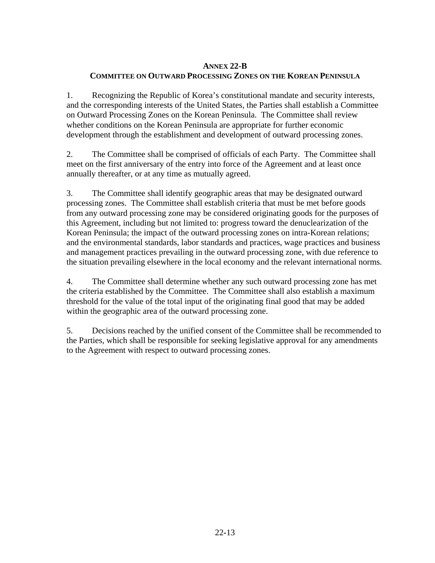### **ANNEX 22-B COMMITTEE ON OUTWARD PROCESSING ZONES ON THE KOREAN PENINSULA**

1. Recognizing the Republic of Korea's constitutional mandate and security interests, and the corresponding interests of the United States, the Parties shall establish a Committee on Outward Processing Zones on the Korean Peninsula. The Committee shall review whether conditions on the Korean Peninsula are appropriate for further economic development through the establishment and development of outward processing zones.

2. The Committee shall be comprised of officials of each Party. The Committee shall meet on the first anniversary of the entry into force of the Agreement and at least once annually thereafter, or at any time as mutually agreed.

3. The Committee shall identify geographic areas that may be designated outward processing zones. The Committee shall establish criteria that must be met before goods from any outward processing zone may be considered originating goods for the purposes of this Agreement, including but not limited to: progress toward the denuclearization of the Korean Peninsula; the impact of the outward processing zones on intra-Korean relations; and the environmental standards, labor standards and practices, wage practices and business and management practices prevailing in the outward processing zone, with due reference to the situation prevailing elsewhere in the local economy and the relevant international norms.

4. The Committee shall determine whether any such outward processing zone has met the criteria established by the Committee. The Committee shall also establish a maximum threshold for the value of the total input of the originating final good that may be added within the geographic area of the outward processing zone.

5. Decisions reached by the unified consent of the Committee shall be recommended to the Parties, which shall be responsible for seeking legislative approval for any amendments to the Agreement with respect to outward processing zones.